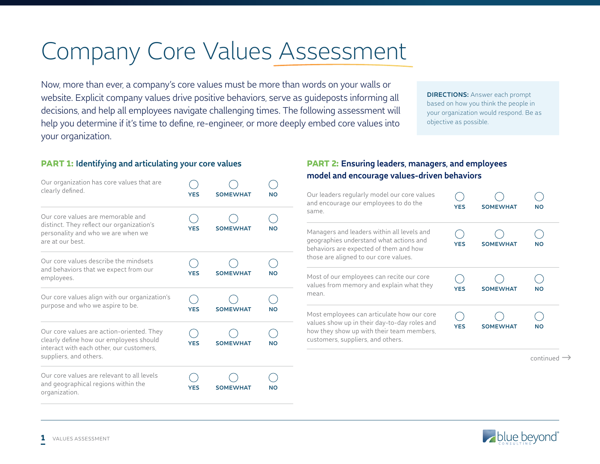# Company Core Values Assessment

Now, more than ever, a company's core values must be more than words on your walls or website. Explicit company values drive positive behaviors, serve as guideposts informing all decisions, and help all employees navigate challenging times. The following assessment will help you determine if it's time to define, re-engineer, or more deeply embed core values into your organization.

**DIRECTIONS:** Answer each prompt based on how you think the people in your organization would respond. Be as objective as possible.

### PART 1: **Identifying and articulating your core values**

| Our organization has core values that are<br>clearly defined.                                                                                              | <b>YES</b> | <b>SOMEWHAT</b> | <b>NO</b> |
|------------------------------------------------------------------------------------------------------------------------------------------------------------|------------|-----------------|-----------|
| Our core values are memorable and<br>distinct. They reflect our organization's<br>personality and who we are when we<br>are at our best                    | YES        | <b>SOMEWHAT</b> | NΟ        |
| Our core values describe the mindsets<br>and behaviors that we expect from our<br>employees.                                                               | <b>YES</b> | <b>SOMEWHAT</b> | NΟ        |
| Our core values align with our organization's<br>purpose and who we aspire to be.                                                                          | <b>YES</b> | <b>SOMEWHAT</b> | NΟ        |
| Our core values are action-oriented. They<br>clearly define how our employees should<br>interact with each other, our customers,<br>suppliers, and others. | <b>YES</b> | <b>SOMEWHAT</b> | <b>NO</b> |
| Our core values are relevant to all levels<br>and geographical regions within the<br>organization.                                                         | YES        | <b>SOMEWHAT</b> | NΟ        |

# PART 2: **Ensuring leaders, managers, and employees model and encourage values-driven behaviors**

| Our leaders regularly model our core values<br>and encourage our employees to do the<br>same.                                                                                | <b>YES</b> | <b>SOMEWHAT</b> | <b>NO</b> |
|------------------------------------------------------------------------------------------------------------------------------------------------------------------------------|------------|-----------------|-----------|
| Managers and leaders within all levels and<br>geographies understand what actions and<br>behaviors are expected of them and how<br>those are aligned to our core values.     | <b>YES</b> | <b>SOMEWHAT</b> | <b>NO</b> |
| Most of our employees can recite our core<br>values from memory and explain what they<br>mean.                                                                               | YES        | <b>SOMEWHAT</b> | <b>NO</b> |
| Most employees can articulate how our core<br>values show up in their day-to-day roles and<br>how they show up with their team members,<br>customers, suppliers, and others. | <b>YES</b> | <b>SOMEWHAT</b> | NΟ        |
|                                                                                                                                                                              |            |                 | continued |

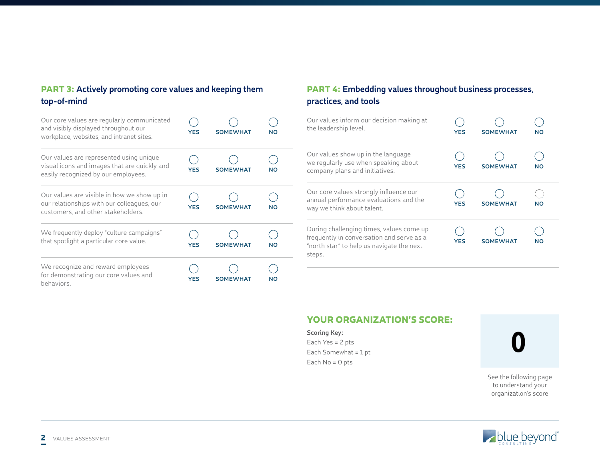# PART 3: **Actively promoting core values and keeping them top-of-mind**

| Our core values are regularly communicated<br>and visibly displayed throughout our<br>workplace, websites, and intranet sites.  | YES        | <b>SOMEWHAT</b> | NΟ |
|---------------------------------------------------------------------------------------------------------------------------------|------------|-----------------|----|
| Our values are represented using unique<br>visual icons and images that are quickly and<br>easily recognized by our employees.  | YES        | <b>SOMEWHAT</b> | NΟ |
| Our values are visible in how we show up in<br>our relationships with our colleagues, our<br>customers, and other stakeholders. | YES        | <b>SOMEWHAT</b> | NΟ |
| We frequently deploy "culture campaigns"<br>that spotlight a particular core value.                                             | <b>YES</b> | <b>SOMEWHAT</b> | NΟ |
| We recognize and reward employees<br>for demonstrating our core values and<br>behaviors.                                        | YES        | <b>SOMEWHAT</b> | NΟ |

# PART 4: **Embedding values throughout business processes, practices, and tools**

| Our values inform our decision making at<br>the leadership level.                                                                            | <b>YES</b> | <b>SOMEWHAT</b> | <b>NO</b> |
|----------------------------------------------------------------------------------------------------------------------------------------------|------------|-----------------|-----------|
| Our values show up in the language<br>we regularly use when speaking about<br>company plans and initiatives.                                 | <b>YES</b> | <b>SOMEWHAT</b> | <b>NO</b> |
| Our core values strongly influence our<br>annual performance evaluations and the<br>way we think about talent.                               | <b>YES</b> | <b>SOMEWHAT</b> | <b>NO</b> |
| During challenging times, values come up<br>frequently in conversation and serve as a<br>"north star" to help us navigate the next<br>steps. | <b>YES</b> | <b>SOMEWHAT</b> | <b>NO</b> |

#### YOUR ORGANIZATION'S SCORE:

#### **Scoring Key:**

Each Yes = 2 pts Each Somewhat = 1 pt Each No = 0 pts

0

See the following page to understand your organization's score